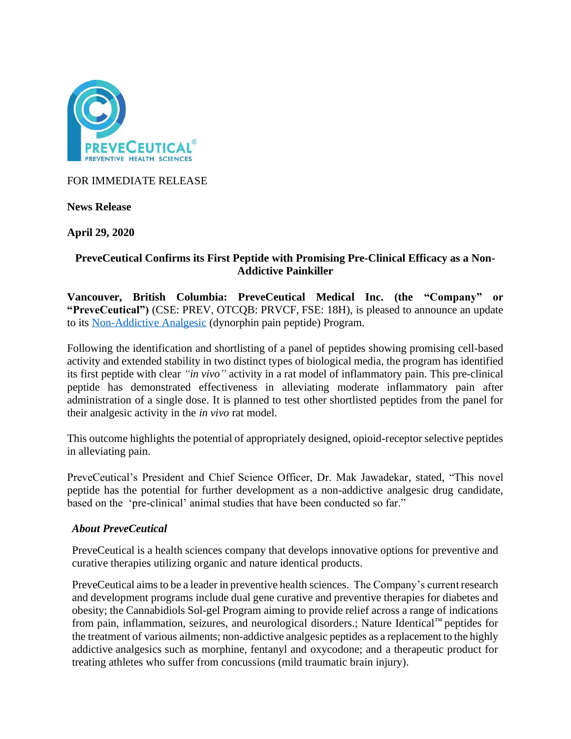

FOR IMMEDIATE RELEASE

**News Release**

**April 29, 2020**

# **PreveCeutical Confirms its First Peptide with Promising Pre-Clinical Efficacy as a Non-Addictive Painkiller**

**Vancouver, British Columbia: PreveCeutical Medical Inc. (the "Company" or "PreveCeutical")** (CSE: PREV, OTCQB: PRVCF, FSE: 18H), is pleased to announce an update to its [Non-Addictive Analgesic](https://www.preveceutical.com/research-development/non-addictive-analgesics/) (dynorphin pain peptide) Program.

Following the identification and shortlisting of a panel of peptides showing promising cell-based activity and extended stability in two distinct types of biological media, the program has identified its first peptide with clear *"in vivo"* activity in a rat model of inflammatory pain. This pre-clinical peptide has demonstrated effectiveness in alleviating moderate inflammatory pain after administration of a single dose. It is planned to test other shortlisted peptides from the panel for their analgesic activity in the *in vivo* rat model.

This outcome highlights the potential of appropriately designed, opioid-receptor selective peptides in alleviating pain.

PreveCeutical's President and Chief Science Officer, Dr. Mak Jawadekar, stated, "This novel peptide has the potential for further development as a non-addictive analgesic drug candidate, based on the 'pre-clinical' animal studies that have been conducted so far."

## *About PreveCeutical*

PreveCeutical is a health sciences company that develops innovative options for preventive and curative therapies utilizing organic and nature identical products.

PreveCeutical aims to be a leader in preventive health sciences. The Company's current research and development programs include dual gene curative and preventive therapies for diabetes and obesity; the Cannabidiols Sol-gel Program aiming to provide relief across a range of indications from pain, inflammation, seizures, and neurological disorders.; Nature Identical™ peptides for the treatment of various ailments; non-addictive analgesic peptides as a replacement to the highly addictive analgesics such as morphine, fentanyl and oxycodone; and a therapeutic product for treating athletes who suffer from concussions (mild traumatic brain injury).